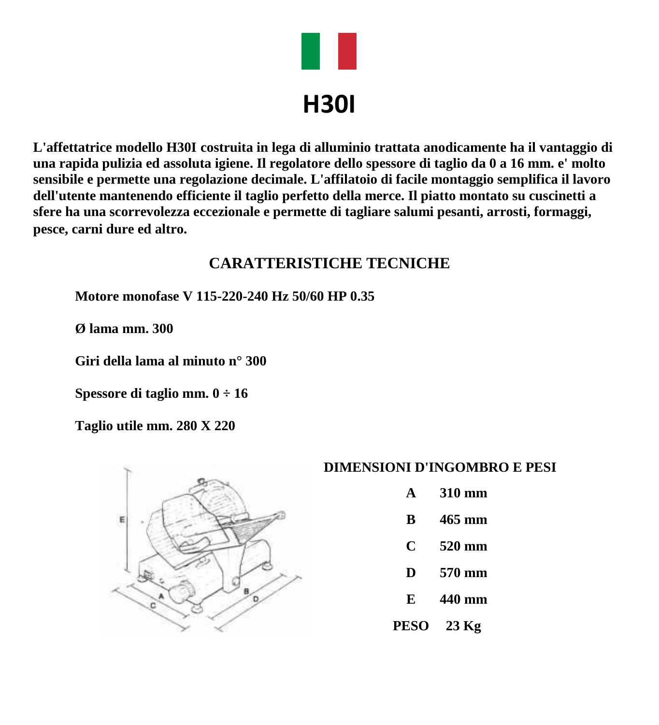

**L'affettatrice modello H30I costruita in lega di alluminio trattata anodicamente ha il vantaggio di una rapida pulizia ed assoluta igiene. Il regolatore dello spessore di taglio da 0 a 16 mm. e' molto sensibile e permette una regolazione decimale. L'affilatoio di facile montaggio semplifica il lavoro dell'utente mantenendo efficiente il taglio perfetto della merce. Il piatto montato su cuscinetti a sfere ha una scorrevolezza eccezionale e permette di tagliare salumi pesanti, arrosti, formaggi, pesce, carni dure ed altro.**

## **CARATTERISTICHE TECNICHE**

**Motore monofase V 115-220-240 Hz 50/60 HP 0.35**

**Ø lama mm. 300**

**Giri della lama al minuto n° 300**

**Spessore di taglio mm. 0 ÷ 16**

**Taglio utile mm. 280 X 220**



#### **DIMENSIONI D'INGOMBRO E PESI**

- **A 310 mm**
- **B 465 mm**
- **C 520 mm**
- **D 570 mm**
- **E 440 mm**
- **PESO 23 Kg**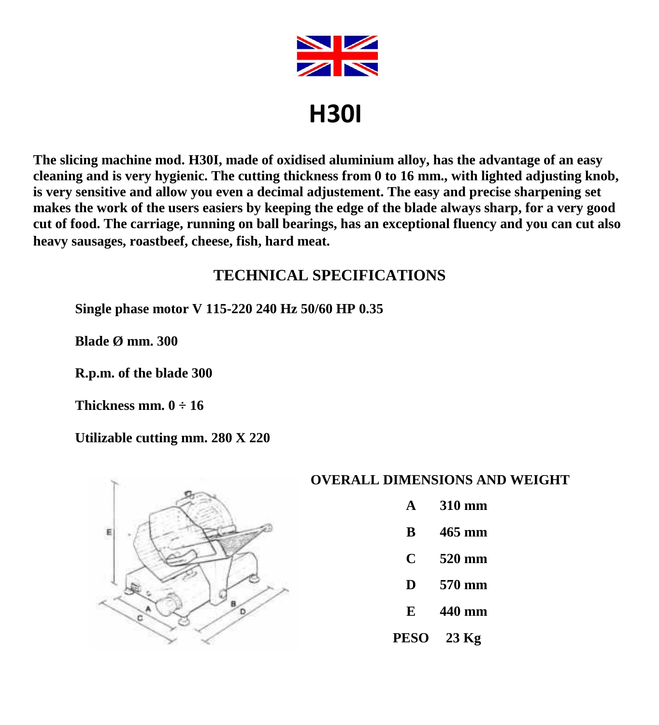

**The slicing machine mod. H30I, made of oxidised aluminium alloy, has the advantage of an easy cleaning and is very hygienic. The cutting thickness from 0 to 16 mm., with lighted adjusting knob, is very sensitive and allow you even a decimal adjustement. The easy and precise sharpening set makes the work of the users easiers by keeping the edge of the blade always sharp, for a very good cut of food. The carriage, running on ball bearings, has an exceptional fluency and you can cut also heavy sausages, roastbeef, cheese, fish, hard meat.**

## **TECHNICAL SPECIFICATIONS**

**Single phase motor V 115-220 240 Hz 50/60 HP 0.35**

**Blade Ø mm. 300**

**R.p.m. of the blade 300**

**Thickness mm. 0 ÷ 16**

**Utilizable cutting mm. 280 X 220**



#### **OVERALL DIMENSIONS AND WEIGHT**

- **A 310 mm**
- **B 465 mm**
- **C 520 mm**
- **D 570 mm**
- **E 440 mm**
- **PESO 23 Kg**